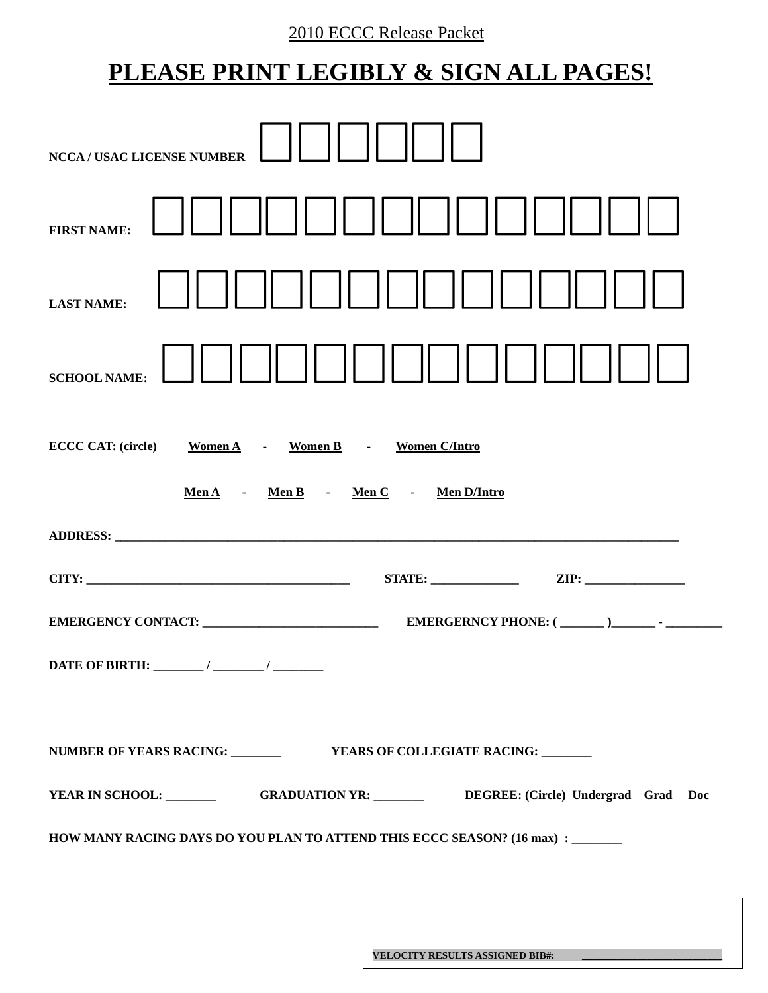# 2010 ECCC Release Packet

# **PLEASE PRINT LEGIBLY & SIGN ALL PAGES!**

| <b>NCCA / USAC LICENSE NUMBER</b>                                                                                                                                                                                              |
|--------------------------------------------------------------------------------------------------------------------------------------------------------------------------------------------------------------------------------|
| <b>FIRST NAME:</b>                                                                                                                                                                                                             |
| <b>LAST NAME:</b>                                                                                                                                                                                                              |
| <b>SCHOOL NAME:</b>                                                                                                                                                                                                            |
| ECCC CAT: (circle) Women A - Women B - Women C/Intro                                                                                                                                                                           |
| MenA - MenB - MenC - MenD/Intro                                                                                                                                                                                                |
| ADDRESS: North Contract of the Contract of the Contract of the Contract of the Contract of the Contract of the Contract of the Contract of the Contract of the Contract of the Contract of the Contract of the Contract of the |
|                                                                                                                                                                                                                                |
|                                                                                                                                                                                                                                |
|                                                                                                                                                                                                                                |
|                                                                                                                                                                                                                                |
| YEAR IN SCHOOL: GRADUATION YR: DEGREE: (Circle) Undergrad Grad Doc                                                                                                                                                             |
| HOW MANY RACING DAYS DO YOU PLAN TO ATTEND THIS ECCC SEASON? (16 max) : ______                                                                                                                                                 |
|                                                                                                                                                                                                                                |

**VELOCITY RESULTS ASSIGNED BIB#: \_\_\_\_\_\_\_\_\_\_\_\_\_\_\_\_\_\_\_\_\_\_\_\_\_\_\_\_**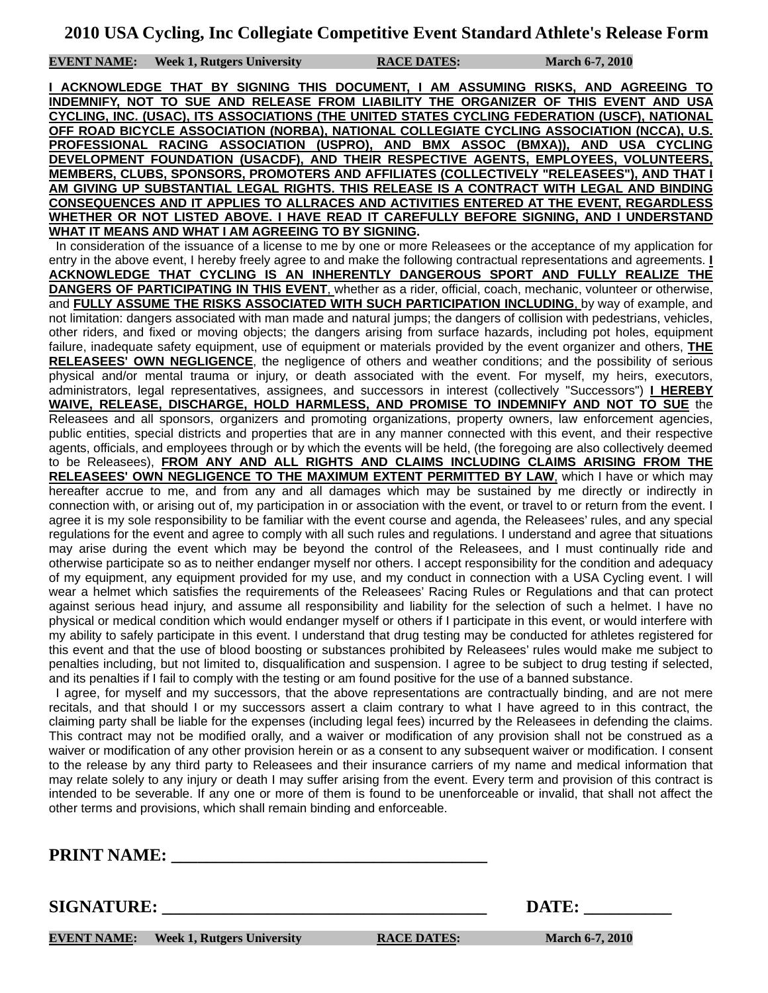**EVENT NAME:** Week 1, Rutgers University RACE DATES: March 6-7, 2010

**I ACKNOWLEDGE THAT BY SIGNING THIS DOCUMENT, I AM ASSUMING RISKS, AND AGREEING TO INDEMNIFY, NOT TO SUE AND RELEASE FROM LIABILITY THE ORGANIZER OF THIS EVENT AND USA CYCLING, INC. (USAC), ITS ASSOCIATIONS (THE UNITED STATES CYCLING FEDERATION (USCF), NATIONAL OFF ROAD BICYCLE ASSOCIATION (NORBA), NATIONAL COLLEGIATE CYCLING ASSOCIATION (NCCA), U.S. PROFESSIONAL RACING ASSOCIATION (USPRO), AND BMX ASSOC (BMXA)), AND USA CYCLING DEVELOPMENT FOUNDATION (USACDF), AND THEIR RESPECTIVE AGENTS, EMPLOYEES, VOLUNTEERS, MEMBERS, CLUBS, SPONSORS, PROMOTERS AND AFFILIATES (COLLECTIVELY "RELEASEES"), AND THAT I AM GIVING UP SUBSTANTIAL LEGAL RIGHTS. THIS RELEASE IS A CONTRACT WITH LEGAL AND BINDING CONSEQUENCES AND IT APPLIES TO ALLRACES AND ACTIVITIES ENTERED AT THE EVENT, REGARDLESS WHETHER OR NOT LISTED ABOVE. I HAVE READ IT CAREFULLY BEFORE SIGNING, AND I UNDERSTAND WHAT IT MEANS AND WHAT I AM AGREEING TO BY SIGNING.**

 In consideration of the issuance of a license to me by one or more Releasees or the acceptance of my application for entry in the above event, I hereby freely agree to and make the following contractual representations and agreements. **I ACKNOWLEDGE THAT CYCLING IS AN INHERENTLY DANGEROUS SPORT AND FULLY REALIZE THE DANGERS OF PARTICIPATING IN THIS EVENT**, whether as a rider, official, coach, mechanic, volunteer or otherwise, and **FULLY ASSUME THE RISKS ASSOCIATED WITH SUCH PARTICIPATION INCLUDING**, by way of example, and not limitation: dangers associated with man made and natural jumps; the dangers of collision with pedestrians, vehicles, other riders, and fixed or moving objects; the dangers arising from surface hazards, including pot holes, equipment failure, inadequate safety equipment, use of equipment or materials provided by the event organizer and others, **THE RELEASEES' OWN NEGLIGENCE**, the negligence of others and weather conditions; and the possibility of serious physical and/or mental trauma or injury, or death associated with the event. For myself, my heirs, executors, administrators, legal representatives, assignees, and successors in interest (collectively "Successors") **I HEREBY WAIVE, RELEASE, DISCHARGE, HOLD HARMLESS, AND PROMISE TO INDEMNIFY AND NOT TO SUE** the Releasees and all sponsors, organizers and promoting organizations, property owners, law enforcement agencies, public entities, special districts and properties that are in any manner connected with this event, and their respective agents, officials, and employees through or by which the events will be held, (the foregoing are also collectively deemed to be Releasees), **FROM ANY AND ALL RIGHTS AND CLAIMS INCLUDING CLAIMS ARISING FROM THE RELEASEES' OWN NEGLIGENCE TO THE MAXIMUM EXTENT PERMITTED BY LAW**, which I have or which may hereafter accrue to me, and from any and all damages which may be sustained by me directly or indirectly in connection with, or arising out of, my participation in or association with the event, or travel to or return from the event. I agree it is my sole responsibility to be familiar with the event course and agenda, the Releasees' rules, and any special regulations for the event and agree to comply with all such rules and regulations. I understand and agree that situations may arise during the event which may be beyond the control of the Releasees, and I must continually ride and otherwise participate so as to neither endanger myself nor others. I accept responsibility for the condition and adequacy of my equipment, any equipment provided for my use, and my conduct in connection with a USA Cycling event. I will wear a helmet which satisfies the requirements of the Releasees' Racing Rules or Regulations and that can protect against serious head injury, and assume all responsibility and liability for the selection of such a helmet. I have no physical or medical condition which would endanger myself or others if I participate in this event, or would interfere with my ability to safely participate in this event. I understand that drug testing may be conducted for athletes registered for this event and that the use of blood boosting or substances prohibited by Releasees' rules would make me subject to penalties including, but not limited to, disqualification and suspension. I agree to be subject to drug testing if selected, and its penalties if I fail to comply with the testing or am found positive for the use of a banned substance.

 I agree, for myself and my successors, that the above representations are contractually binding, and are not mere recitals, and that should I or my successors assert a claim contrary to what I have agreed to in this contract, the claiming party shall be liable for the expenses (including legal fees) incurred by the Releasees in defending the claims. This contract may not be modified orally, and a waiver or modification of any provision shall not be construed as a waiver or modification of any other provision herein or as a consent to any subsequent waiver or modification. I consent to the release by any third party to Releasees and their insurance carriers of my name and medical information that may relate solely to any injury or death I may suffer arising from the event. Every term and provision of this contract is intended to be severable. If any one or more of them is found to be unenforceable or invalid, that shall not affect the other terms and provisions, which shall remain binding and enforceable.

**PRINT NAME:** 

**SIGNATURE:** DATE:

**EVENT NAME:** Week 1, Rutgers University **RACE DATES:** March 6-7, 2010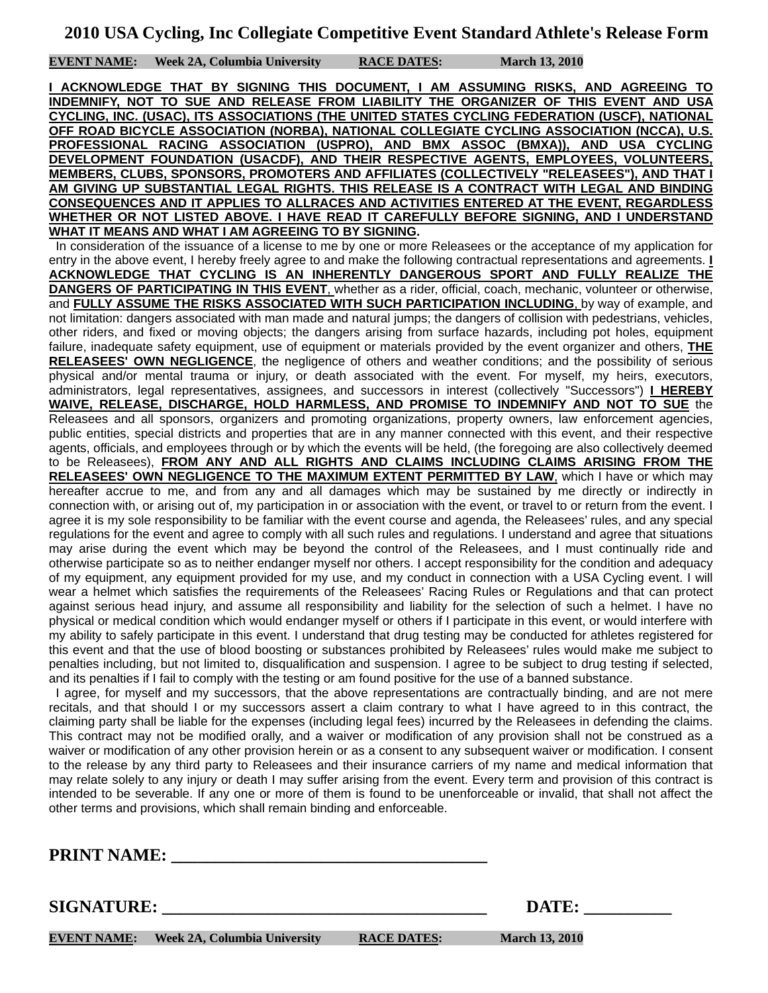**EVENT NAME:** Week 2A, Columbia University RACE DATES: March 13, 2010

**I ACKNOWLEDGE THAT BY SIGNING THIS DOCUMENT, I AM ASSUMING RISKS, AND AGREEING TO INDEMNIFY, NOT TO SUE AND RELEASE FROM LIABILITY THE ORGANIZER OF THIS EVENT AND USA CYCLING, INC. (USAC), ITS ASSOCIATIONS (THE UNITED STATES CYCLING FEDERATION (USCF), NATIONAL OFF ROAD BICYCLE ASSOCIATION (NORBA), NATIONAL COLLEGIATE CYCLING ASSOCIATION (NCCA), U.S. PROFESSIONAL RACING ASSOCIATION (USPRO), AND BMX ASSOC (BMXA)), AND USA CYCLING DEVELOPMENT FOUNDATION (USACDF), AND THEIR RESPECTIVE AGENTS, EMPLOYEES, VOLUNTEERS, MEMBERS, CLUBS, SPONSORS, PROMOTERS AND AFFILIATES (COLLECTIVELY "RELEASEES"), AND THAT I AM GIVING UP SUBSTANTIAL LEGAL RIGHTS. THIS RELEASE IS A CONTRACT WITH LEGAL AND BINDING CONSEQUENCES AND IT APPLIES TO ALLRACES AND ACTIVITIES ENTERED AT THE EVENT, REGARDLESS WHETHER OR NOT LISTED ABOVE. I HAVE READ IT CAREFULLY BEFORE SIGNING, AND I UNDERSTAND WHAT IT MEANS AND WHAT I AM AGREEING TO BY SIGNING.**

 In consideration of the issuance of a license to me by one or more Releasees or the acceptance of my application for entry in the above event, I hereby freely agree to and make the following contractual representations and agreements. **I ACKNOWLEDGE THAT CYCLING IS AN INHERENTLY DANGEROUS SPORT AND FULLY REALIZE THE DANGERS OF PARTICIPATING IN THIS EVENT**, whether as a rider, official, coach, mechanic, volunteer or otherwise, and **FULLY ASSUME THE RISKS ASSOCIATED WITH SUCH PARTICIPATION INCLUDING**, by way of example, and not limitation: dangers associated with man made and natural jumps; the dangers of collision with pedestrians, vehicles, other riders, and fixed or moving objects; the dangers arising from surface hazards, including pot holes, equipment failure, inadequate safety equipment, use of equipment or materials provided by the event organizer and others, **THE RELEASEES' OWN NEGLIGENCE**, the negligence of others and weather conditions; and the possibility of serious physical and/or mental trauma or injury, or death associated with the event. For myself, my heirs, executors, administrators, legal representatives, assignees, and successors in interest (collectively "Successors") **I HEREBY WAIVE, RELEASE, DISCHARGE, HOLD HARMLESS, AND PROMISE TO INDEMNIFY AND NOT TO SUE** the Releasees and all sponsors, organizers and promoting organizations, property owners, law enforcement agencies, public entities, special districts and properties that are in any manner connected with this event, and their respective agents, officials, and employees through or by which the events will be held, (the foregoing are also collectively deemed to be Releasees), **FROM ANY AND ALL RIGHTS AND CLAIMS INCLUDING CLAIMS ARISING FROM THE RELEASEES' OWN NEGLIGENCE TO THE MAXIMUM EXTENT PERMITTED BY LAW**, which I have or which may hereafter accrue to me, and from any and all damages which may be sustained by me directly or indirectly in connection with, or arising out of, my participation in or association with the event, or travel to or return from the event. I agree it is my sole responsibility to be familiar with the event course and agenda, the Releasees' rules, and any special regulations for the event and agree to comply with all such rules and regulations. I understand and agree that situations may arise during the event which may be beyond the control of the Releasees, and I must continually ride and otherwise participate so as to neither endanger myself nor others. I accept responsibility for the condition and adequacy of my equipment, any equipment provided for my use, and my conduct in connection with a USA Cycling event. I will wear a helmet which satisfies the requirements of the Releasees' Racing Rules or Regulations and that can protect against serious head injury, and assume all responsibility and liability for the selection of such a helmet. I have no physical or medical condition which would endanger myself or others if I participate in this event, or would interfere with my ability to safely participate in this event. I understand that drug testing may be conducted for athletes registered for this event and that the use of blood boosting or substances prohibited by Releasees' rules would make me subject to penalties including, but not limited to, disqualification and suspension. I agree to be subject to drug testing if selected, and its penalties if I fail to comply with the testing or am found positive for the use of a banned substance.

 I agree, for myself and my successors, that the above representations are contractually binding, and are not mere recitals, and that should I or my successors assert a claim contrary to what I have agreed to in this contract, the claiming party shall be liable for the expenses (including legal fees) incurred by the Releasees in defending the claims. This contract may not be modified orally, and a waiver or modification of any provision shall not be construed as a waiver or modification of any other provision herein or as a consent to any subsequent waiver or modification. I consent to the release by any third party to Releasees and their insurance carriers of my name and medical information that may relate solely to any injury or death I may suffer arising from the event. Every term and provision of this contract is intended to be severable. If any one or more of them is found to be unenforceable or invalid, that shall not affect the other terms and provisions, which shall remain binding and enforceable.

**PRINT NAME:** 

**SIGNATURE:** DATE:

**EVENT NAME:** Week 2A, Columbia University RACE DATES: March 13, 2010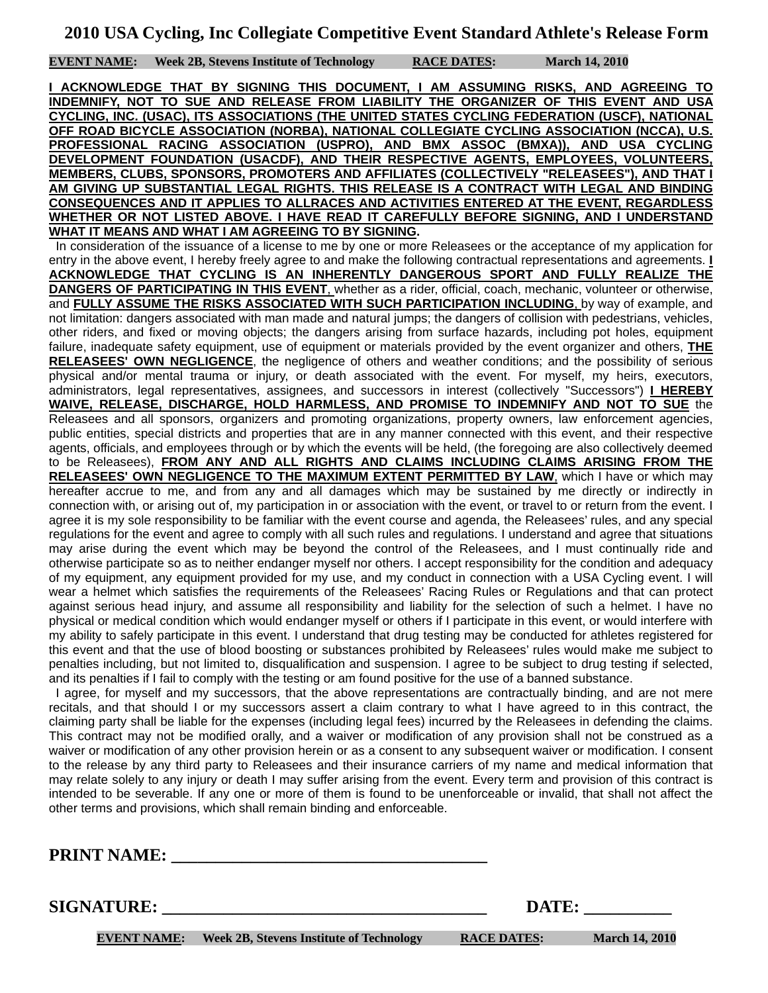**EVENT NAME: Week 2B, Stevens Institute of Technology RACE DATES: March 14, 2010**

**I ACKNOWLEDGE THAT BY SIGNING THIS DOCUMENT, I AM ASSUMING RISKS, AND AGREEING TO INDEMNIFY, NOT TO SUE AND RELEASE FROM LIABILITY THE ORGANIZER OF THIS EVENT AND USA CYCLING, INC. (USAC), ITS ASSOCIATIONS (THE UNITED STATES CYCLING FEDERATION (USCF), NATIONAL OFF ROAD BICYCLE ASSOCIATION (NORBA), NATIONAL COLLEGIATE CYCLING ASSOCIATION (NCCA), U.S. PROFESSIONAL RACING ASSOCIATION (USPRO), AND BMX ASSOC (BMXA)), AND USA CYCLING DEVELOPMENT FOUNDATION (USACDF), AND THEIR RESPECTIVE AGENTS, EMPLOYEES, VOLUNTEERS, MEMBERS, CLUBS, SPONSORS, PROMOTERS AND AFFILIATES (COLLECTIVELY "RELEASEES"), AND THAT I AM GIVING UP SUBSTANTIAL LEGAL RIGHTS. THIS RELEASE IS A CONTRACT WITH LEGAL AND BINDING CONSEQUENCES AND IT APPLIES TO ALLRACES AND ACTIVITIES ENTERED AT THE EVENT, REGARDLESS WHETHER OR NOT LISTED ABOVE. I HAVE READ IT CAREFULLY BEFORE SIGNING, AND I UNDERSTAND WHAT IT MEANS AND WHAT I AM AGREEING TO BY SIGNING.**

 In consideration of the issuance of a license to me by one or more Releasees or the acceptance of my application for entry in the above event, I hereby freely agree to and make the following contractual representations and agreements. **I ACKNOWLEDGE THAT CYCLING IS AN INHERENTLY DANGEROUS SPORT AND FULLY REALIZE THE DANGERS OF PARTICIPATING IN THIS EVENT**, whether as a rider, official, coach, mechanic, volunteer or otherwise, and **FULLY ASSUME THE RISKS ASSOCIATED WITH SUCH PARTICIPATION INCLUDING**, by way of example, and not limitation: dangers associated with man made and natural jumps; the dangers of collision with pedestrians, vehicles, other riders, and fixed or moving objects; the dangers arising from surface hazards, including pot holes, equipment failure, inadequate safety equipment, use of equipment or materials provided by the event organizer and others, **THE RELEASEES' OWN NEGLIGENCE**, the negligence of others and weather conditions; and the possibility of serious physical and/or mental trauma or injury, or death associated with the event. For myself, my heirs, executors, administrators, legal representatives, assignees, and successors in interest (collectively "Successors") **I HEREBY WAIVE, RELEASE, DISCHARGE, HOLD HARMLESS, AND PROMISE TO INDEMNIFY AND NOT TO SUE** the Releasees and all sponsors, organizers and promoting organizations, property owners, law enforcement agencies, public entities, special districts and properties that are in any manner connected with this event, and their respective agents, officials, and employees through or by which the events will be held, (the foregoing are also collectively deemed to be Releasees), **FROM ANY AND ALL RIGHTS AND CLAIMS INCLUDING CLAIMS ARISING FROM THE RELEASEES' OWN NEGLIGENCE TO THE MAXIMUM EXTENT PERMITTED BY LAW**, which I have or which may hereafter accrue to me, and from any and all damages which may be sustained by me directly or indirectly in connection with, or arising out of, my participation in or association with the event, or travel to or return from the event. I agree it is my sole responsibility to be familiar with the event course and agenda, the Releasees' rules, and any special regulations for the event and agree to comply with all such rules and regulations. I understand and agree that situations may arise during the event which may be beyond the control of the Releasees, and I must continually ride and otherwise participate so as to neither endanger myself nor others. I accept responsibility for the condition and adequacy of my equipment, any equipment provided for my use, and my conduct in connection with a USA Cycling event. I will wear a helmet which satisfies the requirements of the Releasees' Racing Rules or Regulations and that can protect against serious head injury, and assume all responsibility and liability for the selection of such a helmet. I have no physical or medical condition which would endanger myself or others if I participate in this event, or would interfere with my ability to safely participate in this event. I understand that drug testing may be conducted for athletes registered for this event and that the use of blood boosting or substances prohibited by Releasees' rules would make me subject to penalties including, but not limited to, disqualification and suspension. I agree to be subject to drug testing if selected, and its penalties if I fail to comply with the testing or am found positive for the use of a banned substance.

 I agree, for myself and my successors, that the above representations are contractually binding, and are not mere recitals, and that should I or my successors assert a claim contrary to what I have agreed to in this contract, the claiming party shall be liable for the expenses (including legal fees) incurred by the Releasees in defending the claims. This contract may not be modified orally, and a waiver or modification of any provision shall not be construed as a waiver or modification of any other provision herein or as a consent to any subsequent waiver or modification. I consent to the release by any third party to Releasees and their insurance carriers of my name and medical information that may relate solely to any injury or death I may suffer arising from the event. Every term and provision of this contract is intended to be severable. If any one or more of them is found to be unenforceable or invalid, that shall not affect the other terms and provisions, which shall remain binding and enforceable.

**PRINT NAME:** 

**SIGNATURE: \_\_\_\_\_\_\_\_\_\_\_\_\_\_\_\_\_\_\_\_\_\_\_\_\_\_\_\_\_\_\_\_\_\_\_\_\_ DATE: \_\_\_\_\_\_\_\_\_\_** 

**EVENT NAME:** Week 2B, Stevens Institute of Technology RACE DATES: March 14, 2010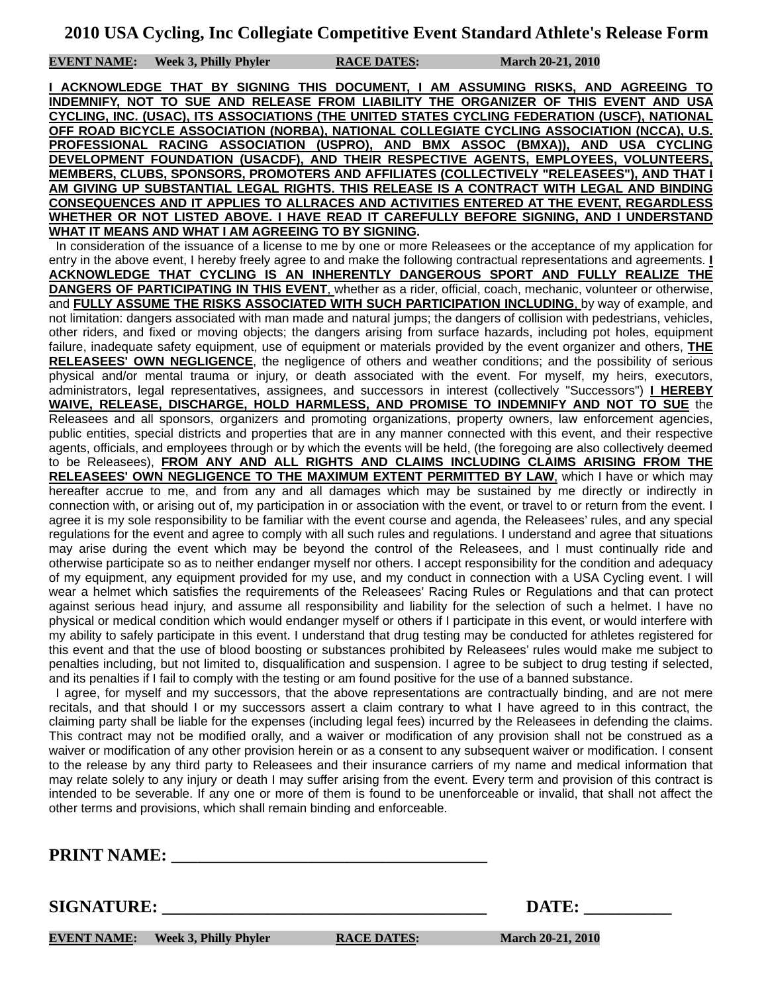**EVENT NAME:** Week 3, Philly Phyler RACE DATES: March 20-21, 2010

**I ACKNOWLEDGE THAT BY SIGNING THIS DOCUMENT, I AM ASSUMING RISKS, AND AGREEING TO INDEMNIFY, NOT TO SUE AND RELEASE FROM LIABILITY THE ORGANIZER OF THIS EVENT AND USA CYCLING, INC. (USAC), ITS ASSOCIATIONS (THE UNITED STATES CYCLING FEDERATION (USCF), NATIONAL OFF ROAD BICYCLE ASSOCIATION (NORBA), NATIONAL COLLEGIATE CYCLING ASSOCIATION (NCCA), U.S. PROFESSIONAL RACING ASSOCIATION (USPRO), AND BMX ASSOC (BMXA)), AND USA CYCLING DEVELOPMENT FOUNDATION (USACDF), AND THEIR RESPECTIVE AGENTS, EMPLOYEES, VOLUNTEERS, MEMBERS, CLUBS, SPONSORS, PROMOTERS AND AFFILIATES (COLLECTIVELY "RELEASEES"), AND THAT I AM GIVING UP SUBSTANTIAL LEGAL RIGHTS. THIS RELEASE IS A CONTRACT WITH LEGAL AND BINDING CONSEQUENCES AND IT APPLIES TO ALLRACES AND ACTIVITIES ENTERED AT THE EVENT, REGARDLESS WHETHER OR NOT LISTED ABOVE. I HAVE READ IT CAREFULLY BEFORE SIGNING, AND I UNDERSTAND WHAT IT MEANS AND WHAT I AM AGREEING TO BY SIGNING.**

 In consideration of the issuance of a license to me by one or more Releasees or the acceptance of my application for entry in the above event, I hereby freely agree to and make the following contractual representations and agreements. **I ACKNOWLEDGE THAT CYCLING IS AN INHERENTLY DANGEROUS SPORT AND FULLY REALIZE THE DANGERS OF PARTICIPATING IN THIS EVENT**, whether as a rider, official, coach, mechanic, volunteer or otherwise, and **FULLY ASSUME THE RISKS ASSOCIATED WITH SUCH PARTICIPATION INCLUDING**, by way of example, and not limitation: dangers associated with man made and natural jumps; the dangers of collision with pedestrians, vehicles, other riders, and fixed or moving objects; the dangers arising from surface hazards, including pot holes, equipment failure, inadequate safety equipment, use of equipment or materials provided by the event organizer and others, **THE RELEASEES' OWN NEGLIGENCE**, the negligence of others and weather conditions; and the possibility of serious physical and/or mental trauma or injury, or death associated with the event. For myself, my heirs, executors, administrators, legal representatives, assignees, and successors in interest (collectively "Successors") **I HEREBY WAIVE, RELEASE, DISCHARGE, HOLD HARMLESS, AND PROMISE TO INDEMNIFY AND NOT TO SUE** the Releasees and all sponsors, organizers and promoting organizations, property owners, law enforcement agencies, public entities, special districts and properties that are in any manner connected with this event, and their respective agents, officials, and employees through or by which the events will be held, (the foregoing are also collectively deemed to be Releasees), **FROM ANY AND ALL RIGHTS AND CLAIMS INCLUDING CLAIMS ARISING FROM THE RELEASEES' OWN NEGLIGENCE TO THE MAXIMUM EXTENT PERMITTED BY LAW**, which I have or which may hereafter accrue to me, and from any and all damages which may be sustained by me directly or indirectly in connection with, or arising out of, my participation in or association with the event, or travel to or return from the event. I agree it is my sole responsibility to be familiar with the event course and agenda, the Releasees' rules, and any special regulations for the event and agree to comply with all such rules and regulations. I understand and agree that situations may arise during the event which may be beyond the control of the Releasees, and I must continually ride and otherwise participate so as to neither endanger myself nor others. I accept responsibility for the condition and adequacy of my equipment, any equipment provided for my use, and my conduct in connection with a USA Cycling event. I will wear a helmet which satisfies the requirements of the Releasees' Racing Rules or Regulations and that can protect against serious head injury, and assume all responsibility and liability for the selection of such a helmet. I have no physical or medical condition which would endanger myself or others if I participate in this event, or would interfere with my ability to safely participate in this event. I understand that drug testing may be conducted for athletes registered for this event and that the use of blood boosting or substances prohibited by Releasees' rules would make me subject to penalties including, but not limited to, disqualification and suspension. I agree to be subject to drug testing if selected, and its penalties if I fail to comply with the testing or am found positive for the use of a banned substance.

 I agree, for myself and my successors, that the above representations are contractually binding, and are not mere recitals, and that should I or my successors assert a claim contrary to what I have agreed to in this contract, the claiming party shall be liable for the expenses (including legal fees) incurred by the Releasees in defending the claims. This contract may not be modified orally, and a waiver or modification of any provision shall not be construed as a waiver or modification of any other provision herein or as a consent to any subsequent waiver or modification. I consent to the release by any third party to Releasees and their insurance carriers of my name and medical information that may relate solely to any injury or death I may suffer arising from the event. Every term and provision of this contract is intended to be severable. If any one or more of them is found to be unenforceable or invalid, that shall not affect the other terms and provisions, which shall remain binding and enforceable.

**PRINT NAME:** 

**SIGNATURE:** DATE:

**EVENT NAME:** Week 3, Philly Phyler RACE DATES: March 20-21, 2010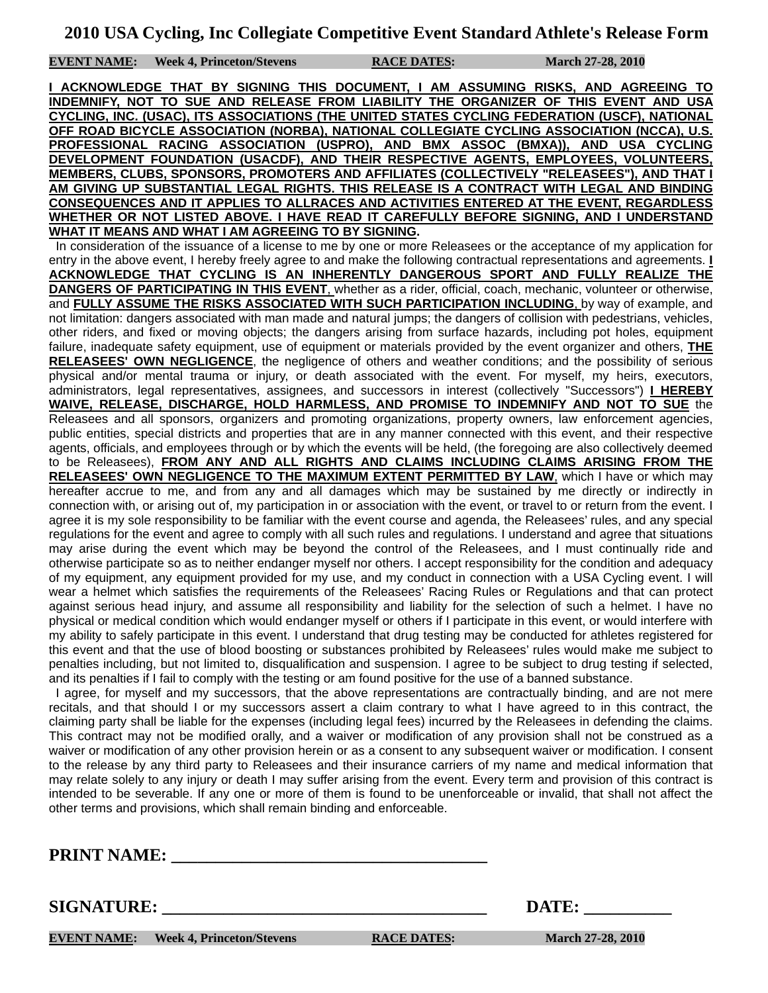**EVENT NAME:** Week 4, Princeton/Stevens RACE DATES: March 27-28, 2010

**I ACKNOWLEDGE THAT BY SIGNING THIS DOCUMENT, I AM ASSUMING RISKS, AND AGREEING TO INDEMNIFY, NOT TO SUE AND RELEASE FROM LIABILITY THE ORGANIZER OF THIS EVENT AND USA CYCLING, INC. (USAC), ITS ASSOCIATIONS (THE UNITED STATES CYCLING FEDERATION (USCF), NATIONAL OFF ROAD BICYCLE ASSOCIATION (NORBA), NATIONAL COLLEGIATE CYCLING ASSOCIATION (NCCA), U.S. PROFESSIONAL RACING ASSOCIATION (USPRO), AND BMX ASSOC (BMXA)), AND USA CYCLING DEVELOPMENT FOUNDATION (USACDF), AND THEIR RESPECTIVE AGENTS, EMPLOYEES, VOLUNTEERS, MEMBERS, CLUBS, SPONSORS, PROMOTERS AND AFFILIATES (COLLECTIVELY "RELEASEES"), AND THAT I AM GIVING UP SUBSTANTIAL LEGAL RIGHTS. THIS RELEASE IS A CONTRACT WITH LEGAL AND BINDING CONSEQUENCES AND IT APPLIES TO ALLRACES AND ACTIVITIES ENTERED AT THE EVENT, REGARDLESS WHETHER OR NOT LISTED ABOVE. I HAVE READ IT CAREFULLY BEFORE SIGNING, AND I UNDERSTAND WHAT IT MEANS AND WHAT I AM AGREEING TO BY SIGNING.**

 In consideration of the issuance of a license to me by one or more Releasees or the acceptance of my application for entry in the above event, I hereby freely agree to and make the following contractual representations and agreements. **I ACKNOWLEDGE THAT CYCLING IS AN INHERENTLY DANGEROUS SPORT AND FULLY REALIZE THE DANGERS OF PARTICIPATING IN THIS EVENT**, whether as a rider, official, coach, mechanic, volunteer or otherwise, and **FULLY ASSUME THE RISKS ASSOCIATED WITH SUCH PARTICIPATION INCLUDING**, by way of example, and not limitation: dangers associated with man made and natural jumps; the dangers of collision with pedestrians, vehicles, other riders, and fixed or moving objects; the dangers arising from surface hazards, including pot holes, equipment failure, inadequate safety equipment, use of equipment or materials provided by the event organizer and others, **THE RELEASEES' OWN NEGLIGENCE**, the negligence of others and weather conditions; and the possibility of serious physical and/or mental trauma or injury, or death associated with the event. For myself, my heirs, executors, administrators, legal representatives, assignees, and successors in interest (collectively "Successors") **I HEREBY WAIVE, RELEASE, DISCHARGE, HOLD HARMLESS, AND PROMISE TO INDEMNIFY AND NOT TO SUE** the Releasees and all sponsors, organizers and promoting organizations, property owners, law enforcement agencies, public entities, special districts and properties that are in any manner connected with this event, and their respective agents, officials, and employees through or by which the events will be held, (the foregoing are also collectively deemed to be Releasees), **FROM ANY AND ALL RIGHTS AND CLAIMS INCLUDING CLAIMS ARISING FROM THE RELEASEES' OWN NEGLIGENCE TO THE MAXIMUM EXTENT PERMITTED BY LAW**, which I have or which may hereafter accrue to me, and from any and all damages which may be sustained by me directly or indirectly in connection with, or arising out of, my participation in or association with the event, or travel to or return from the event. I agree it is my sole responsibility to be familiar with the event course and agenda, the Releasees' rules, and any special regulations for the event and agree to comply with all such rules and regulations. I understand and agree that situations may arise during the event which may be beyond the control of the Releasees, and I must continually ride and otherwise participate so as to neither endanger myself nor others. I accept responsibility for the condition and adequacy of my equipment, any equipment provided for my use, and my conduct in connection with a USA Cycling event. I will wear a helmet which satisfies the requirements of the Releasees' Racing Rules or Regulations and that can protect against serious head injury, and assume all responsibility and liability for the selection of such a helmet. I have no physical or medical condition which would endanger myself or others if I participate in this event, or would interfere with my ability to safely participate in this event. I understand that drug testing may be conducted for athletes registered for this event and that the use of blood boosting or substances prohibited by Releasees' rules would make me subject to penalties including, but not limited to, disqualification and suspension. I agree to be subject to drug testing if selected, and its penalties if I fail to comply with the testing or am found positive for the use of a banned substance.

 I agree, for myself and my successors, that the above representations are contractually binding, and are not mere recitals, and that should I or my successors assert a claim contrary to what I have agreed to in this contract, the claiming party shall be liable for the expenses (including legal fees) incurred by the Releasees in defending the claims. This contract may not be modified orally, and a waiver or modification of any provision shall not be construed as a waiver or modification of any other provision herein or as a consent to any subsequent waiver or modification. I consent to the release by any third party to Releasees and their insurance carriers of my name and medical information that may relate solely to any injury or death I may suffer arising from the event. Every term and provision of this contract is intended to be severable. If any one or more of them is found to be unenforceable or invalid, that shall not affect the other terms and provisions, which shall remain binding and enforceable.

**PRINT NAME:** 

**SIGNATURE: \_\_\_\_\_\_\_\_\_\_\_\_\_\_\_\_\_\_\_\_\_\_\_\_\_\_\_\_\_\_\_\_\_\_\_\_\_ DATE: \_\_\_\_\_\_\_\_\_\_** 

**EVENT NAME:** Week 4, Princeton/Stevens RACE DATES: March 27-28, 2010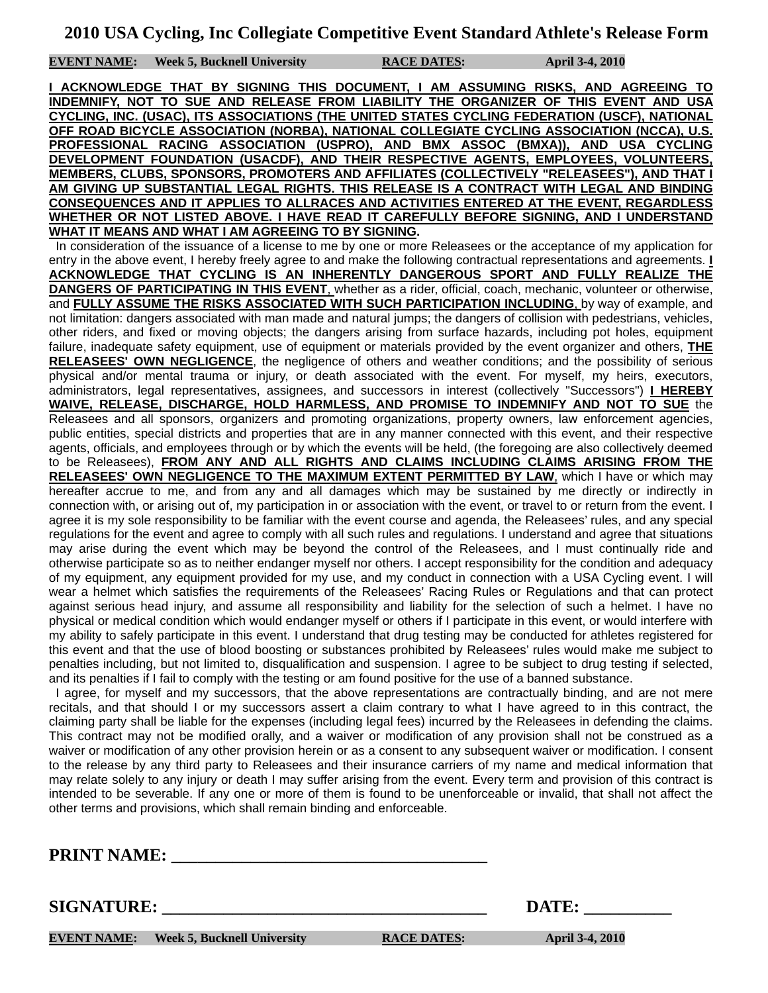**EVENT NAME:** Week 5, Bucknell University **RACE DATES:** April 3-4, 2010

**I ACKNOWLEDGE THAT BY SIGNING THIS DOCUMENT, I AM ASSUMING RISKS, AND AGREEING TO INDEMNIFY, NOT TO SUE AND RELEASE FROM LIABILITY THE ORGANIZER OF THIS EVENT AND USA CYCLING, INC. (USAC), ITS ASSOCIATIONS (THE UNITED STATES CYCLING FEDERATION (USCF), NATIONAL OFF ROAD BICYCLE ASSOCIATION (NORBA), NATIONAL COLLEGIATE CYCLING ASSOCIATION (NCCA), U.S. PROFESSIONAL RACING ASSOCIATION (USPRO), AND BMX ASSOC (BMXA)), AND USA CYCLING DEVELOPMENT FOUNDATION (USACDF), AND THEIR RESPECTIVE AGENTS, EMPLOYEES, VOLUNTEERS, MEMBERS, CLUBS, SPONSORS, PROMOTERS AND AFFILIATES (COLLECTIVELY "RELEASEES"), AND THAT I AM GIVING UP SUBSTANTIAL LEGAL RIGHTS. THIS RELEASE IS A CONTRACT WITH LEGAL AND BINDING CONSEQUENCES AND IT APPLIES TO ALLRACES AND ACTIVITIES ENTERED AT THE EVENT, REGARDLESS WHETHER OR NOT LISTED ABOVE. I HAVE READ IT CAREFULLY BEFORE SIGNING, AND I UNDERSTAND WHAT IT MEANS AND WHAT I AM AGREEING TO BY SIGNING.**

 In consideration of the issuance of a license to me by one or more Releasees or the acceptance of my application for entry in the above event, I hereby freely agree to and make the following contractual representations and agreements. **I ACKNOWLEDGE THAT CYCLING IS AN INHERENTLY DANGEROUS SPORT AND FULLY REALIZE THE DANGERS OF PARTICIPATING IN THIS EVENT**, whether as a rider, official, coach, mechanic, volunteer or otherwise, and **FULLY ASSUME THE RISKS ASSOCIATED WITH SUCH PARTICIPATION INCLUDING**, by way of example, and not limitation: dangers associated with man made and natural jumps; the dangers of collision with pedestrians, vehicles, other riders, and fixed or moving objects; the dangers arising from surface hazards, including pot holes, equipment failure, inadequate safety equipment, use of equipment or materials provided by the event organizer and others, **THE RELEASEES' OWN NEGLIGENCE**, the negligence of others and weather conditions; and the possibility of serious physical and/or mental trauma or injury, or death associated with the event. For myself, my heirs, executors, administrators, legal representatives, assignees, and successors in interest (collectively "Successors") **I HEREBY WAIVE, RELEASE, DISCHARGE, HOLD HARMLESS, AND PROMISE TO INDEMNIFY AND NOT TO SUE** the Releasees and all sponsors, organizers and promoting organizations, property owners, law enforcement agencies, public entities, special districts and properties that are in any manner connected with this event, and their respective agents, officials, and employees through or by which the events will be held, (the foregoing are also collectively deemed to be Releasees), **FROM ANY AND ALL RIGHTS AND CLAIMS INCLUDING CLAIMS ARISING FROM THE RELEASEES' OWN NEGLIGENCE TO THE MAXIMUM EXTENT PERMITTED BY LAW**, which I have or which may hereafter accrue to me, and from any and all damages which may be sustained by me directly or indirectly in connection with, or arising out of, my participation in or association with the event, or travel to or return from the event. I agree it is my sole responsibility to be familiar with the event course and agenda, the Releasees' rules, and any special regulations for the event and agree to comply with all such rules and regulations. I understand and agree that situations may arise during the event which may be beyond the control of the Releasees, and I must continually ride and otherwise participate so as to neither endanger myself nor others. I accept responsibility for the condition and adequacy of my equipment, any equipment provided for my use, and my conduct in connection with a USA Cycling event. I will wear a helmet which satisfies the requirements of the Releasees' Racing Rules or Regulations and that can protect against serious head injury, and assume all responsibility and liability for the selection of such a helmet. I have no physical or medical condition which would endanger myself or others if I participate in this event, or would interfere with my ability to safely participate in this event. I understand that drug testing may be conducted for athletes registered for this event and that the use of blood boosting or substances prohibited by Releasees' rules would make me subject to penalties including, but not limited to, disqualification and suspension. I agree to be subject to drug testing if selected, and its penalties if I fail to comply with the testing or am found positive for the use of a banned substance.

 I agree, for myself and my successors, that the above representations are contractually binding, and are not mere recitals, and that should I or my successors assert a claim contrary to what I have agreed to in this contract, the claiming party shall be liable for the expenses (including legal fees) incurred by the Releasees in defending the claims. This contract may not be modified orally, and a waiver or modification of any provision shall not be construed as a waiver or modification of any other provision herein or as a consent to any subsequent waiver or modification. I consent to the release by any third party to Releasees and their insurance carriers of my name and medical information that may relate solely to any injury or death I may suffer arising from the event. Every term and provision of this contract is intended to be severable. If any one or more of them is found to be unenforceable or invalid, that shall not affect the other terms and provisions, which shall remain binding and enforceable.

**PRINT NAME:** 

**SIGNATURE:** DATE:

**EVENT NAME:** Week 5, Bucknell University **RACE DATES:** April 3-4, 2010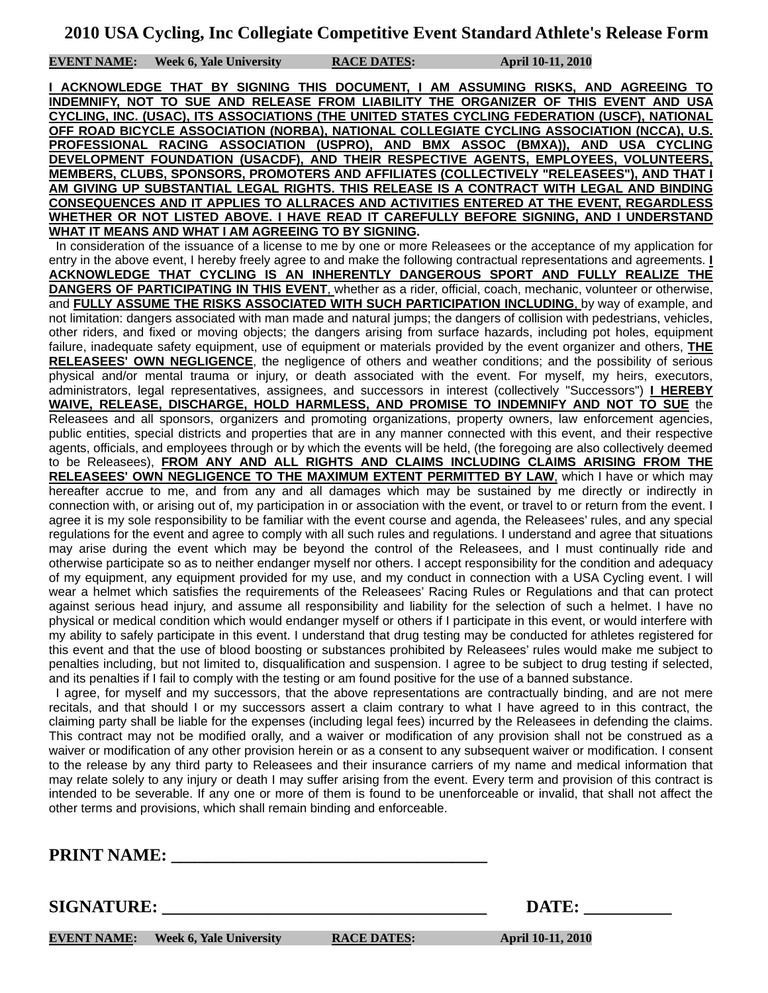**EVENT NAME: Week 6, Yale University RACE DATES: April 10-11, 2010**

**I ACKNOWLEDGE THAT BY SIGNING THIS DOCUMENT, I AM ASSUMING RISKS, AND AGREEING TO INDEMNIFY, NOT TO SUE AND RELEASE FROM LIABILITY THE ORGANIZER OF THIS EVENT AND USA CYCLING, INC. (USAC), ITS ASSOCIATIONS (THE UNITED STATES CYCLING FEDERATION (USCF), NATIONAL OFF ROAD BICYCLE ASSOCIATION (NORBA), NATIONAL COLLEGIATE CYCLING ASSOCIATION (NCCA), U.S. PROFESSIONAL RACING ASSOCIATION (USPRO), AND BMX ASSOC (BMXA)), AND USA CYCLING DEVELOPMENT FOUNDATION (USACDF), AND THEIR RESPECTIVE AGENTS, EMPLOYEES, VOLUNTEERS, MEMBERS, CLUBS, SPONSORS, PROMOTERS AND AFFILIATES (COLLECTIVELY "RELEASEES"), AND THAT I AM GIVING UP SUBSTANTIAL LEGAL RIGHTS. THIS RELEASE IS A CONTRACT WITH LEGAL AND BINDING CONSEQUENCES AND IT APPLIES TO ALLRACES AND ACTIVITIES ENTERED AT THE EVENT, REGARDLESS WHETHER OR NOT LISTED ABOVE. I HAVE READ IT CAREFULLY BEFORE SIGNING, AND I UNDERSTAND WHAT IT MEANS AND WHAT I AM AGREEING TO BY SIGNING.**

 In consideration of the issuance of a license to me by one or more Releasees or the acceptance of my application for entry in the above event, I hereby freely agree to and make the following contractual representations and agreements. **I ACKNOWLEDGE THAT CYCLING IS AN INHERENTLY DANGEROUS SPORT AND FULLY REALIZE THE DANGERS OF PARTICIPATING IN THIS EVENT**, whether as a rider, official, coach, mechanic, volunteer or otherwise, and **FULLY ASSUME THE RISKS ASSOCIATED WITH SUCH PARTICIPATION INCLUDING**, by way of example, and not limitation: dangers associated with man made and natural jumps; the dangers of collision with pedestrians, vehicles, other riders, and fixed or moving objects; the dangers arising from surface hazards, including pot holes, equipment failure, inadequate safety equipment, use of equipment or materials provided by the event organizer and others, **THE RELEASEES' OWN NEGLIGENCE**, the negligence of others and weather conditions; and the possibility of serious physical and/or mental trauma or injury, or death associated with the event. For myself, my heirs, executors, administrators, legal representatives, assignees, and successors in interest (collectively "Successors") **I HEREBY WAIVE, RELEASE, DISCHARGE, HOLD HARMLESS, AND PROMISE TO INDEMNIFY AND NOT TO SUE** the Releasees and all sponsors, organizers and promoting organizations, property owners, law enforcement agencies, public entities, special districts and properties that are in any manner connected with this event, and their respective agents, officials, and employees through or by which the events will be held, (the foregoing are also collectively deemed to be Releasees), **FROM ANY AND ALL RIGHTS AND CLAIMS INCLUDING CLAIMS ARISING FROM THE**  RELEASEES' OWN NEGLIGENCE TO THE MAXIMUM EXTENT PERMITTED BY LAW, which I have or which may hereafter accrue to me, and from any and all damages which may be sustained by me directly or indirectly in connection with, or arising out of, my participation in or association with the event, or travel to or return from the event. I agree it is my sole responsibility to be familiar with the event course and agenda, the Releasees' rules, and any special regulations for the event and agree to comply with all such rules and regulations. I understand and agree that situations may arise during the event which may be beyond the control of the Releasees, and I must continually ride and otherwise participate so as to neither endanger myself nor others. I accept responsibility for the condition and adequacy of my equipment, any equipment provided for my use, and my conduct in connection with a USA Cycling event. I will wear a helmet which satisfies the requirements of the Releasees' Racing Rules or Regulations and that can protect against serious head injury, and assume all responsibility and liability for the selection of such a helmet. I have no physical or medical condition which would endanger myself or others if I participate in this event, or would interfere with my ability to safely participate in this event. I understand that drug testing may be conducted for athletes registered for this event and that the use of blood boosting or substances prohibited by Releasees' rules would make me subject to penalties including, but not limited to, disqualification and suspension. I agree to be subject to drug testing if selected, and its penalties if I fail to comply with the testing or am found positive for the use of a banned substance.

 I agree, for myself and my successors, that the above representations are contractually binding, and are not mere recitals, and that should I or my successors assert a claim contrary to what I have agreed to in this contract, the claiming party shall be liable for the expenses (including legal fees) incurred by the Releasees in defending the claims. This contract may not be modified orally, and a waiver or modification of any provision shall not be construed as a waiver or modification of any other provision herein or as a consent to any subsequent waiver or modification. I consent to the release by any third party to Releasees and their insurance carriers of my name and medical information that may relate solely to any injury or death I may suffer arising from the event. Every term and provision of this contract is intended to be severable. If any one or more of them is found to be unenforceable or invalid, that shall not affect the other terms and provisions, which shall remain binding and enforceable.

**PRINT NAME:** 

**SIGNATURE:** DATE:

**EVENT NAME:** Week 6, Yale University RACE DATES: April 10-11, 2010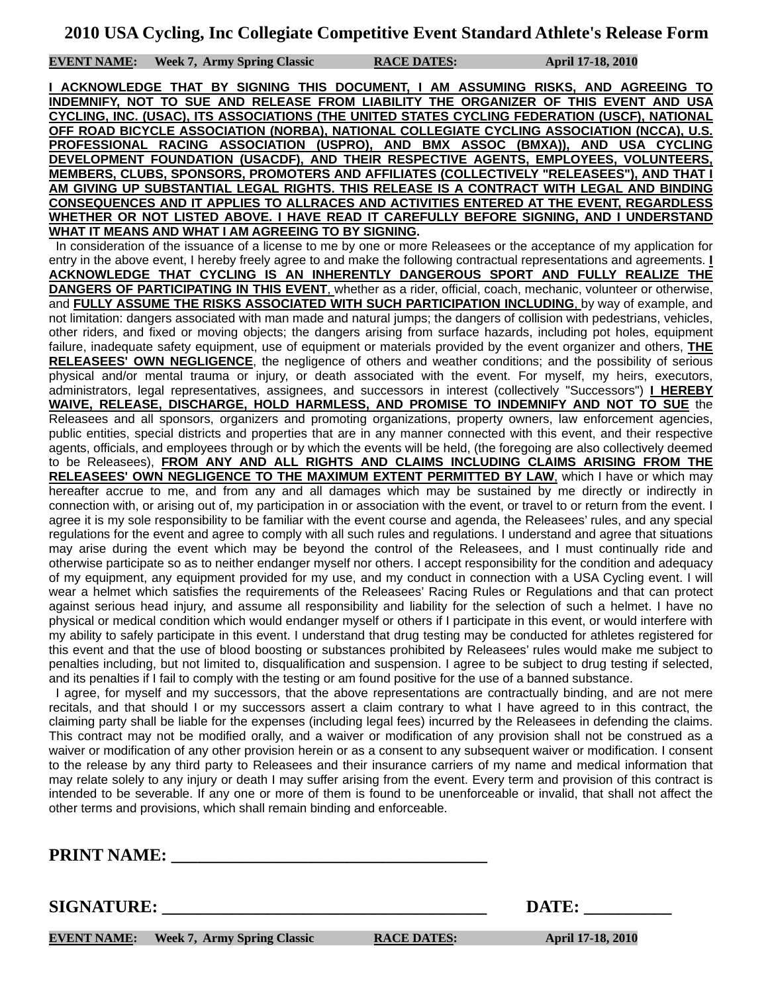**EVENT NAME: Week 7, Army Spring Classic RACE DATES: April 17-18, 2010**

**I ACKNOWLEDGE THAT BY SIGNING THIS DOCUMENT, I AM ASSUMING RISKS, AND AGREEING TO INDEMNIFY, NOT TO SUE AND RELEASE FROM LIABILITY THE ORGANIZER OF THIS EVENT AND USA CYCLING, INC. (USAC), ITS ASSOCIATIONS (THE UNITED STATES CYCLING FEDERATION (USCF), NATIONAL OFF ROAD BICYCLE ASSOCIATION (NORBA), NATIONAL COLLEGIATE CYCLING ASSOCIATION (NCCA), U.S. PROFESSIONAL RACING ASSOCIATION (USPRO), AND BMX ASSOC (BMXA)), AND USA CYCLING DEVELOPMENT FOUNDATION (USACDF), AND THEIR RESPECTIVE AGENTS, EMPLOYEES, VOLUNTEERS, MEMBERS, CLUBS, SPONSORS, PROMOTERS AND AFFILIATES (COLLECTIVELY "RELEASEES"), AND THAT I AM GIVING UP SUBSTANTIAL LEGAL RIGHTS. THIS RELEASE IS A CONTRACT WITH LEGAL AND BINDING CONSEQUENCES AND IT APPLIES TO ALLRACES AND ACTIVITIES ENTERED AT THE EVENT, REGARDLESS WHETHER OR NOT LISTED ABOVE. I HAVE READ IT CAREFULLY BEFORE SIGNING, AND I UNDERSTAND WHAT IT MEANS AND WHAT I AM AGREEING TO BY SIGNING.**

 In consideration of the issuance of a license to me by one or more Releasees or the acceptance of my application for entry in the above event, I hereby freely agree to and make the following contractual representations and agreements. **I ACKNOWLEDGE THAT CYCLING IS AN INHERENTLY DANGEROUS SPORT AND FULLY REALIZE THE DANGERS OF PARTICIPATING IN THIS EVENT**, whether as a rider, official, coach, mechanic, volunteer or otherwise, and **FULLY ASSUME THE RISKS ASSOCIATED WITH SUCH PARTICIPATION INCLUDING**, by way of example, and not limitation: dangers associated with man made and natural jumps; the dangers of collision with pedestrians, vehicles, other riders, and fixed or moving objects; the dangers arising from surface hazards, including pot holes, equipment failure, inadequate safety equipment, use of equipment or materials provided by the event organizer and others, **THE RELEASEES' OWN NEGLIGENCE**, the negligence of others and weather conditions; and the possibility of serious physical and/or mental trauma or injury, or death associated with the event. For myself, my heirs, executors, administrators, legal representatives, assignees, and successors in interest (collectively "Successors") **I HEREBY WAIVE, RELEASE, DISCHARGE, HOLD HARMLESS, AND PROMISE TO INDEMNIFY AND NOT TO SUE** the Releasees and all sponsors, organizers and promoting organizations, property owners, law enforcement agencies, public entities, special districts and properties that are in any manner connected with this event, and their respective agents, officials, and employees through or by which the events will be held, (the foregoing are also collectively deemed to be Releasees), **FROM ANY AND ALL RIGHTS AND CLAIMS INCLUDING CLAIMS ARISING FROM THE RELEASEES' OWN NEGLIGENCE TO THE MAXIMUM EXTENT PERMITTED BY LAW**, which I have or which may hereafter accrue to me, and from any and all damages which may be sustained by me directly or indirectly in connection with, or arising out of, my participation in or association with the event, or travel to or return from the event. I agree it is my sole responsibility to be familiar with the event course and agenda, the Releasees' rules, and any special regulations for the event and agree to comply with all such rules and regulations. I understand and agree that situations may arise during the event which may be beyond the control of the Releasees, and I must continually ride and otherwise participate so as to neither endanger myself nor others. I accept responsibility for the condition and adequacy of my equipment, any equipment provided for my use, and my conduct in connection with a USA Cycling event. I will wear a helmet which satisfies the requirements of the Releasees' Racing Rules or Regulations and that can protect against serious head injury, and assume all responsibility and liability for the selection of such a helmet. I have no physical or medical condition which would endanger myself or others if I participate in this event, or would interfere with my ability to safely participate in this event. I understand that drug testing may be conducted for athletes registered for this event and that the use of blood boosting or substances prohibited by Releasees' rules would make me subject to penalties including, but not limited to, disqualification and suspension. I agree to be subject to drug testing if selected, and its penalties if I fail to comply with the testing or am found positive for the use of a banned substance.

 I agree, for myself and my successors, that the above representations are contractually binding, and are not mere recitals, and that should I or my successors assert a claim contrary to what I have agreed to in this contract, the claiming party shall be liable for the expenses (including legal fees) incurred by the Releasees in defending the claims. This contract may not be modified orally, and a waiver or modification of any provision shall not be construed as a waiver or modification of any other provision herein or as a consent to any subsequent waiver or modification. I consent to the release by any third party to Releasees and their insurance carriers of my name and medical information that may relate solely to any injury or death I may suffer arising from the event. Every term and provision of this contract is intended to be severable. If any one or more of them is found to be unenforceable or invalid, that shall not affect the other terms and provisions, which shall remain binding and enforceable.

**PRINT NAME:** 

**SIGNATURE:** DATE:

**EVENT NAME:** Week 7, Army Spring Classic RACE DATES: April 17-18, 2010